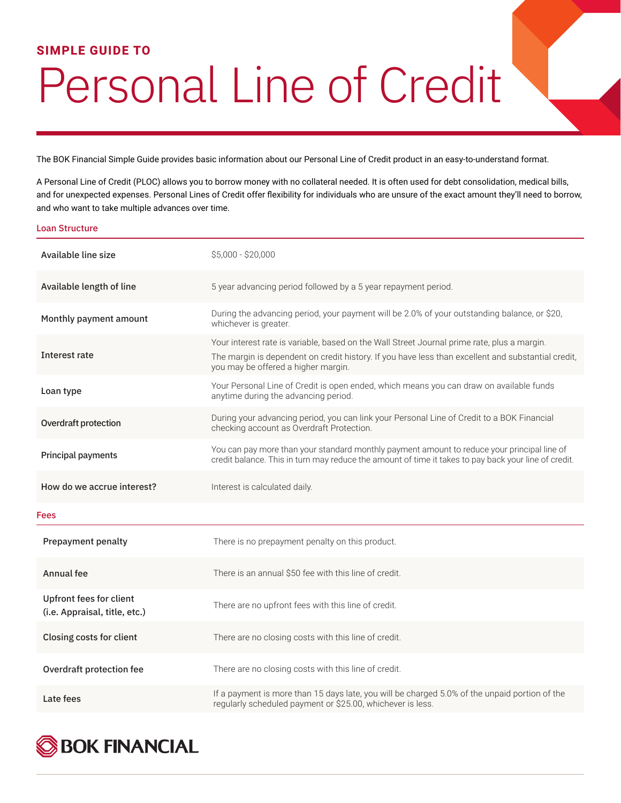## **SIMPLE GUIDE TO**

## Personal Line of Credit

The BOK Financial Simple Guide provides basic information about our Personal Line of Credit product in an easy-to-understand format.

A Personal Line of Credit (PLOC) allows you to borrow money with no collateral needed. It is often used for debt consolidation, medical bills, and for unexpected expenses. Personal Lines of Credit offer flexibility for individuals who are unsure of the exact amount they'll need to borrow, and who want to take multiple advances over time.

## Loan Structure

| Available line size                                             | \$5,000 - \$20,000                                                                                                                                                                                                                       |
|-----------------------------------------------------------------|------------------------------------------------------------------------------------------------------------------------------------------------------------------------------------------------------------------------------------------|
| Available length of line                                        | 5 year advancing period followed by a 5 year repayment period.                                                                                                                                                                           |
| Monthly payment amount                                          | During the advancing period, your payment will be 2.0% of your outstanding balance, or \$20,<br>whichever is greater.                                                                                                                    |
| Interest rate                                                   | Your interest rate is variable, based on the Wall Street Journal prime rate, plus a margin.<br>The margin is dependent on credit history. If you have less than excellent and substantial credit,<br>you may be offered a higher margin. |
| Loan type                                                       | Your Personal Line of Credit is open ended, which means you can draw on available funds<br>anytime during the advancing period.                                                                                                          |
| Overdraft protection                                            | During your advancing period, you can link your Personal Line of Credit to a BOK Financial<br>checking account as Overdraft Protection.                                                                                                  |
| Principal payments                                              | You can pay more than your standard monthly payment amount to reduce your principal line of<br>credit balance. This in turn may reduce the amount of time it takes to pay back your line of credit.                                      |
|                                                                 |                                                                                                                                                                                                                                          |
| How do we accrue interest?                                      | Interest is calculated daily.                                                                                                                                                                                                            |
| <b>Fees</b>                                                     |                                                                                                                                                                                                                                          |
| <b>Prepayment penalty</b>                                       | There is no prepayment penalty on this product.                                                                                                                                                                                          |
| Annual fee                                                      | There is an annual \$50 fee with this line of credit.                                                                                                                                                                                    |
| <b>Upfront fees for client</b><br>(i.e. Appraisal, title, etc.) | There are no upfront fees with this line of credit.                                                                                                                                                                                      |
| Closing costs for client                                        | There are no closing costs with this line of credit.                                                                                                                                                                                     |
| Overdraft protection fee                                        | There are no closing costs with this line of credit.                                                                                                                                                                                     |